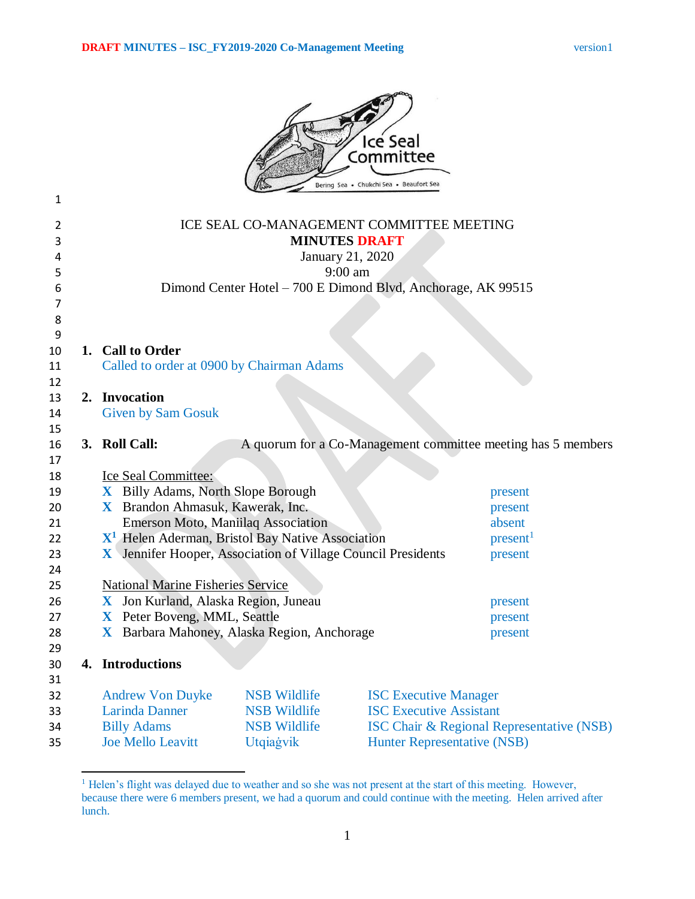

| 1                |                                                                                                   |                                                              |                                                              |                                    |                                                              |
|------------------|---------------------------------------------------------------------------------------------------|--------------------------------------------------------------|--------------------------------------------------------------|------------------------------------|--------------------------------------------------------------|
| 2<br>3<br>4<br>5 | ICE SEAL CO-MANAGEMENT COMMITTEE MEETING<br><b>MINUTES DRAFT</b><br>January 21, 2020<br>$9:00$ am |                                                              |                                                              |                                    |                                                              |
| 6                |                                                                                                   |                                                              | Dimond Center Hotel - 700 E Dimond Blvd, Anchorage, AK 99515 |                                    |                                                              |
| 7                |                                                                                                   |                                                              |                                                              |                                    |                                                              |
| 8<br>9           |                                                                                                   |                                                              |                                                              |                                    |                                                              |
| 10               |                                                                                                   | 1. Call to Order                                             |                                                              |                                    |                                                              |
| 11               |                                                                                                   | Called to order at 0900 by Chairman Adams                    |                                                              |                                    |                                                              |
| 12               |                                                                                                   |                                                              |                                                              |                                    |                                                              |
| 13               |                                                                                                   | 2. Invocation                                                |                                                              |                                    |                                                              |
| 14               |                                                                                                   | <b>Given by Sam Gosuk</b>                                    |                                                              |                                    |                                                              |
| 15<br>16         |                                                                                                   | 3. Roll Call:                                                |                                                              |                                    | A quorum for a Co-Management committee meeting has 5 members |
| 17               |                                                                                                   |                                                              |                                                              |                                    |                                                              |
| 18               |                                                                                                   | Ice Seal Committee:                                          |                                                              |                                    |                                                              |
| 19               |                                                                                                   | X Billy Adams, North Slope Borough                           |                                                              |                                    | present                                                      |
| 20               |                                                                                                   | X Brandon Ahmasuk, Kawerak, Inc.                             |                                                              |                                    | present                                                      |
| 21               |                                                                                                   | <b>Emerson Moto, Maniilaq Association</b>                    |                                                              |                                    | absent                                                       |
| 22               |                                                                                                   | $X1$ Helen Aderman, Bristol Bay Native Association           |                                                              |                                    | present <sup>1</sup>                                         |
| 23               |                                                                                                   | X Jennifer Hooper, Association of Village Council Presidents |                                                              |                                    | present                                                      |
| 24               |                                                                                                   |                                                              |                                                              |                                    |                                                              |
| 25               |                                                                                                   | <b>National Marine Fisheries Service</b>                     |                                                              |                                    |                                                              |
| 26               |                                                                                                   | X Jon Kurland, Alaska Region, Juneau                         |                                                              |                                    | present                                                      |
| 27               |                                                                                                   | X Peter Boveng, MML, Seattle                                 |                                                              |                                    | present                                                      |
| 28               |                                                                                                   | X Barbara Mahoney, Alaska Region, Anchorage                  |                                                              |                                    | present                                                      |
| 29<br>30         |                                                                                                   | 4. Introductions                                             |                                                              |                                    |                                                              |
| 31               |                                                                                                   |                                                              |                                                              |                                    |                                                              |
| 32               |                                                                                                   | <b>Andrew Von Duyke</b>                                      | <b>NSB</b> Wildlife                                          | <b>ISC Executive Manager</b>       |                                                              |
| 33               |                                                                                                   | <b>Larinda Danner</b>                                        | <b>NSB Wildlife</b>                                          | <b>ISC Executive Assistant</b>     |                                                              |
| 34               |                                                                                                   | <b>Billy Adams</b>                                           | <b>NSB Wildlife</b>                                          |                                    | <b>ISC Chair &amp; Regional Representative (NSB)</b>         |
| 35               |                                                                                                   | <b>Joe Mello Leavitt</b>                                     | Utqiagvik                                                    | <b>Hunter Representative (NSB)</b> |                                                              |
|                  |                                                                                                   |                                                              |                                                              |                                    |                                                              |

 $\overline{a}$ <sup>1</sup> Helen's flight was delayed due to weather and so she was not present at the start of this meeting. However, because there were 6 members present, we had a quorum and could continue with the meeting. Helen arrived after lunch.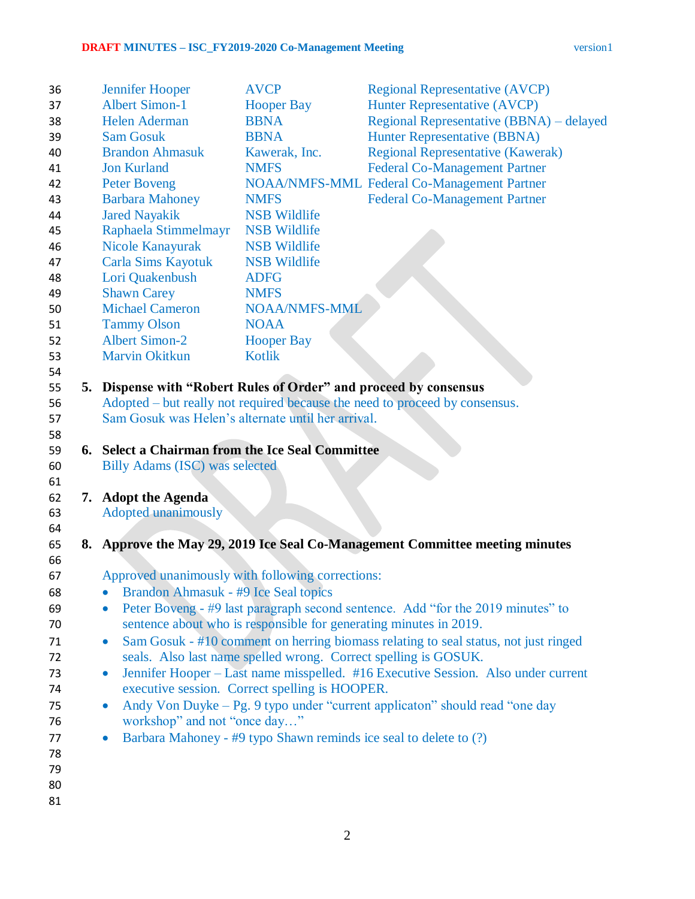| 36       | <b>Jennifer Hooper</b>                                            | <b>AVCP</b>                                                       | <b>Regional Representative (AVCP)</b>                                               |
|----------|-------------------------------------------------------------------|-------------------------------------------------------------------|-------------------------------------------------------------------------------------|
| 37       | <b>Albert Simon-1</b>                                             | <b>Hooper Bay</b>                                                 | <b>Hunter Representative (AVCP)</b>                                                 |
| 38       | <b>Helen Aderman</b>                                              | <b>BBNA</b>                                                       | Regional Representative (BBNA) – delayed                                            |
| 39       | <b>Sam Gosuk</b>                                                  | <b>BBNA</b>                                                       | <b>Hunter Representative (BBNA)</b>                                                 |
| 40       | <b>Brandon Ahmasuk</b>                                            | Kawerak, Inc.                                                     | <b>Regional Representative (Kawerak)</b>                                            |
| 41       | <b>Jon Kurland</b>                                                | <b>NMFS</b>                                                       | <b>Federal Co-Management Partner</b>                                                |
| 42       | <b>Peter Boveng</b>                                               |                                                                   | NOAA/NMFS-MML Federal Co-Management Partner                                         |
| 43       | <b>Barbara Mahoney</b>                                            | <b>NMFS</b>                                                       | <b>Federal Co-Management Partner</b>                                                |
| 44       | <b>Jared Nayakik</b>                                              | <b>NSB Wildlife</b>                                               |                                                                                     |
| 45       | Raphaela Stimmelmayr                                              | <b>NSB Wildlife</b>                                               |                                                                                     |
| 46       | <b>Nicole Kanayurak</b>                                           | <b>NSB Wildlife</b>                                               |                                                                                     |
| 47       | Carla Sims Kayotuk                                                | <b>NSB Wildlife</b>                                               |                                                                                     |
| 48       | Lori Quakenbush                                                   | <b>ADFG</b>                                                       |                                                                                     |
| 49       | <b>Shawn Carey</b>                                                | <b>NMFS</b>                                                       |                                                                                     |
| 50       | <b>Michael Cameron</b>                                            | <b>NOAA/NMFS-MML</b>                                              |                                                                                     |
| 51       | <b>Tammy Olson</b>                                                | <b>NOAA</b>                                                       |                                                                                     |
| 52       | <b>Albert Simon-2</b>                                             | <b>Hooper Bay</b>                                                 |                                                                                     |
| 53       | <b>Marvin Okitkun</b>                                             | <b>Kotlik</b>                                                     |                                                                                     |
| 54       |                                                                   |                                                                   |                                                                                     |
| 55       | 5. Dispense with "Robert Rules of Order" and proceed by consensus |                                                                   |                                                                                     |
| 56       |                                                                   |                                                                   | Adopted – but really not required because the need to proceed by consensus.         |
| 57       | Sam Gosuk was Helen's alternate until her arrival.                |                                                                   |                                                                                     |
| 58       |                                                                   |                                                                   |                                                                                     |
| 59       | 6. Select a Chairman from the Ice Seal Committee                  |                                                                   |                                                                                     |
| 60       | Billy Adams (ISC) was selected                                    |                                                                   |                                                                                     |
| 61       |                                                                   |                                                                   |                                                                                     |
| 62       | 7. Adopt the Agenda                                               |                                                                   |                                                                                     |
| 63       | <b>Adopted unanimously</b>                                        |                                                                   |                                                                                     |
| 64       |                                                                   |                                                                   |                                                                                     |
| 65       |                                                                   |                                                                   | 8. Approve the May 29, 2019 Ice Seal Co-Management Committee meeting minutes        |
| 66       |                                                                   |                                                                   |                                                                                     |
| 67       | Approved unanimously with following corrections:                  |                                                                   |                                                                                     |
| 68       | Brandon Ahmasuk - #9 Ice Seal topics                              |                                                                   |                                                                                     |
| 69       |                                                                   |                                                                   | Peter Boveng - #9 last paragraph second sentence. Add "for the 2019 minutes" to     |
| 70       |                                                                   | sentence about who is responsible for generating minutes in 2019. |                                                                                     |
| 71<br>72 | $\bullet$                                                         | seals. Also last name spelled wrong. Correct spelling is GOSUK.   | Sam Gosuk - #10 comment on herring biomass relating to seal status, not just ringed |
| 73       | $\bullet$                                                         |                                                                   | Jennifer Hooper – Last name misspelled. #16 Executive Session. Also under current   |
| 74       |                                                                   | executive session. Correct spelling is HOOPER.                    |                                                                                     |
| 75       | $\bullet$                                                         |                                                                   | Andy Von Duyke – Pg. 9 typo under "current applicaton" should read "one day         |
| 76       | workshop" and not "once day"                                      |                                                                   |                                                                                     |
| 77       |                                                                   |                                                                   | Barbara Mahoney - #9 typo Shawn reminds ice seal to delete to (?)                   |
| 78       |                                                                   |                                                                   |                                                                                     |
| 79       |                                                                   |                                                                   |                                                                                     |
| 80       |                                                                   |                                                                   |                                                                                     |
| 81       |                                                                   |                                                                   |                                                                                     |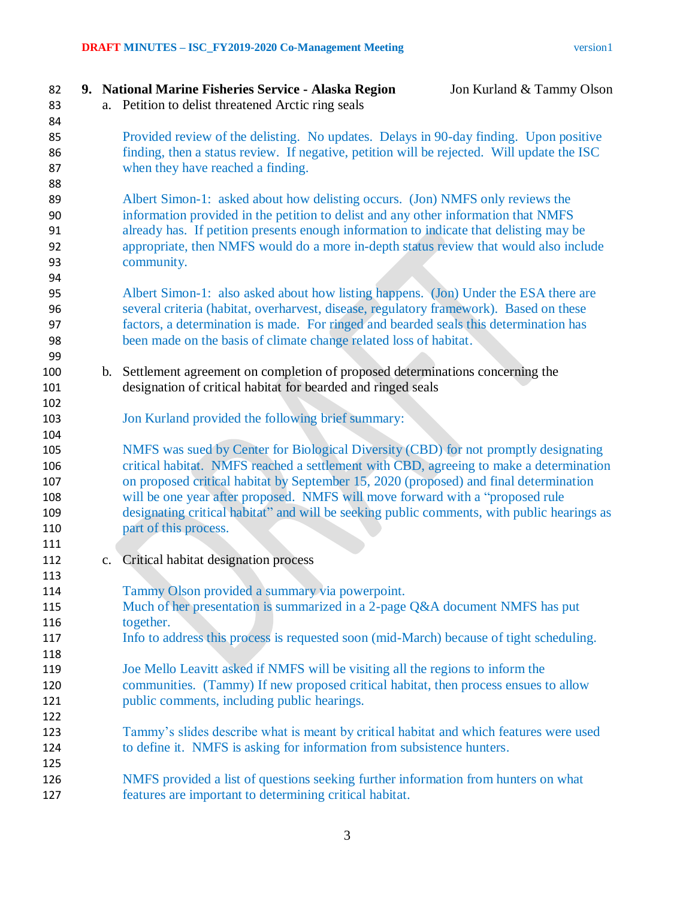**9. National Marine Fisheries Service - Alaska Region** Jon Kurland & Tammy Olson a. Petition to delist threatened Arctic ring seals Provided review of the delisting. No updates. Delays in 90-day finding. Upon positive finding, then a status review. If negative, petition will be rejected. Will update the ISC when they have reached a finding. Albert Simon-1: asked about how delisting occurs. (Jon) NMFS only reviews the information provided in the petition to delist and any other information that NMFS already has. If petition presents enough information to indicate that delisting may be appropriate, then NMFS would do a more in-depth status review that would also include community. Albert Simon-1: also asked about how listing happens. (Jon) Under the ESA there are several criteria (habitat, overharvest, disease, regulatory framework). Based on these factors, a determination is made. For ringed and bearded seals this determination has been made on the basis of climate change related loss of habitat. b. Settlement agreement on completion of proposed determinations concerning the designation of critical habitat for bearded and ringed seals Jon Kurland provided the following brief summary: NMFS was sued by Center for Biological Diversity (CBD) for not promptly designating critical habitat. NMFS reached a settlement with CBD, agreeing to make a determination on proposed critical habitat by September 15, 2020 (proposed) and final determination will be one year after proposed. NMFS will move forward with a "proposed rule designating critical habitat" and will be seeking public comments, with public hearings as **part of this process.**  c. Critical habitat designation process Tammy Olson provided a summary via powerpoint. Much of her presentation is summarized in a 2-page Q&A document NMFS has put together. Info to address this process is requested soon (mid-March) because of tight scheduling. Joe Mello Leavitt asked if NMFS will be visiting all the regions to inform the communities. (Tammy) If new proposed critical habitat, then process ensues to allow public comments, including public hearings. Tammy's slides describe what is meant by critical habitat and which features were used 124 to define it. NMFS is asking for information from subsistence hunters. NMFS provided a list of questions seeking further information from hunters on what features are important to determining critical habitat.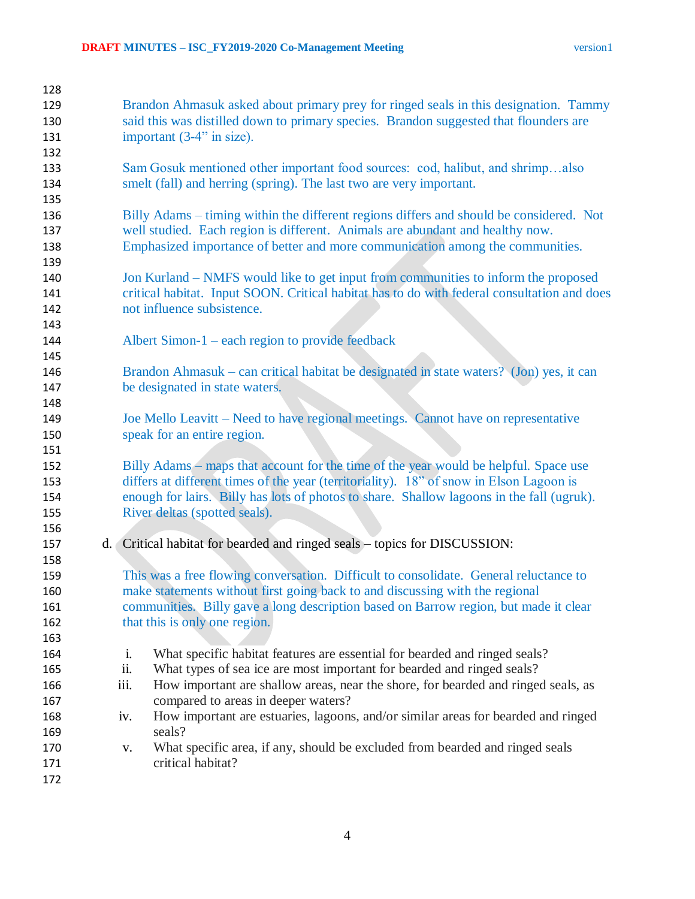| 128 |                                                                                                         |
|-----|---------------------------------------------------------------------------------------------------------|
| 129 | Brandon Ahmasuk asked about primary prey for ringed seals in this designation. Tammy                    |
| 130 | said this was distilled down to primary species. Brandon suggested that flounders are                   |
| 131 | important (3-4" in size).                                                                               |
| 132 |                                                                                                         |
| 133 | Sam Gosuk mentioned other important food sources: cod, halibut, and shrimpalso                          |
| 134 | smelt (fall) and herring (spring). The last two are very important.                                     |
| 135 |                                                                                                         |
| 136 | Billy Adams - timing within the different regions differs and should be considered. Not                 |
| 137 | well studied. Each region is different. Animals are abundant and healthy now.                           |
| 138 | Emphasized importance of better and more communication among the communities.                           |
| 139 |                                                                                                         |
| 140 | Jon Kurland – NMFS would like to get input from communities to inform the proposed                      |
| 141 | critical habitat. Input SOON. Critical habitat has to do with federal consultation and does             |
| 142 | not influence subsistence.                                                                              |
| 143 |                                                                                                         |
| 144 | Albert Simon- $1$ – each region to provide feedback                                                     |
| 145 |                                                                                                         |
| 146 | Brandon Ahmasuk – can critical habitat be designated in state waters? (Jon) yes, it can                 |
| 147 | be designated in state waters.                                                                          |
| 148 |                                                                                                         |
| 149 | Joe Mello Leavitt – Need to have regional meetings. Cannot have on representative                       |
| 150 | speak for an entire region.                                                                             |
| 151 |                                                                                                         |
| 152 | Billy Adams – maps that account for the time of the year would be helpful. Space use                    |
| 153 | differs at different times of the year (territoriality). 18" of snow in Elson Lagoon is                 |
| 154 | enough for lairs. Billy has lots of photos to share. Shallow lagoons in the fall (ugruk).               |
| 155 | River deltas (spotted seals).                                                                           |
| 156 |                                                                                                         |
| 157 | d. Critical habitat for bearded and ringed seals – topics for DISCUSSION:                               |
| 158 |                                                                                                         |
| 159 | This was a free flowing conversation. Difficult to consolidate. General reluctance to                   |
| 160 | make statements without first going back to and discussing with the regional                            |
| 161 | communities. Billy gave a long description based on Barrow region, but made it clear                    |
| 162 | that this is only one region.                                                                           |
| 163 |                                                                                                         |
| 164 | What specific habitat features are essential for bearded and ringed seals?<br>i.                        |
| 165 | ii.<br>What types of sea ice are most important for bearded and ringed seals?                           |
| 166 | iii.<br>How important are shallow areas, near the shore, for bearded and ringed seals, as               |
| 167 | compared to areas in deeper waters?                                                                     |
| 168 | How important are estuaries, lagoons, and/or similar areas for bearded and ringed<br>iv.                |
| 169 | seals?                                                                                                  |
| 170 | What specific area, if any, should be excluded from bearded and ringed seals<br>V.<br>critical habitat? |
| 171 |                                                                                                         |
| 172 |                                                                                                         |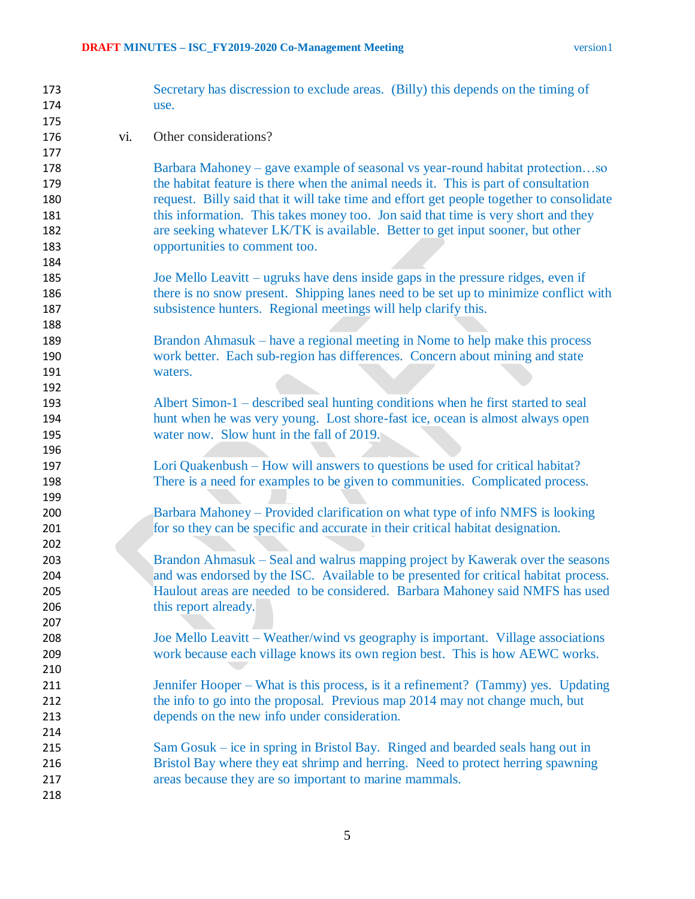| 173        |     | Secretary has discression to exclude areas. (Billy) this depends on the timing of        |
|------------|-----|------------------------------------------------------------------------------------------|
| 174        |     | use.                                                                                     |
| 175        |     |                                                                                          |
| 176        | vi. | Other considerations?                                                                    |
| 177        |     |                                                                                          |
| 178        |     | Barbara Mahoney – gave example of seasonal vs year-round habitat protectionso            |
| 179        |     | the habitat feature is there when the animal needs it. This is part of consultation      |
| 180        |     | request. Billy said that it will take time and effort get people together to consolidate |
| 181        |     | this information. This takes money too. Jon said that time is very short and they        |
| 182        |     | are seeking whatever LK/TK is available. Better to get input sooner, but other           |
| 183        |     | opportunities to comment too.                                                            |
| 184        |     |                                                                                          |
| 185        |     | Joe Mello Leavitt – ugruks have dens inside gaps in the pressure ridges, even if         |
| 186        |     | there is no snow present. Shipping lanes need to be set up to minimize conflict with     |
| 187        |     | subsistence hunters. Regional meetings will help clarify this.                           |
| 188        |     |                                                                                          |
| 189        |     | Brandon Ahmasuk – have a regional meeting in Nome to help make this process              |
| 190        |     | work better. Each sub-region has differences. Concern about mining and state             |
| 191        |     | waters.                                                                                  |
| 192        |     |                                                                                          |
| 193        |     | Albert Simon-1 – described seal hunting conditions when he first started to seal         |
| 194        |     | hunt when he was very young. Lost shore-fast ice, ocean is almost always open            |
| 195        |     | water now. Slow hunt in the fall of 2019.                                                |
| 196        |     |                                                                                          |
| 197        |     | Lori Quakenbush – How will answers to questions be used for critical habitat?            |
| 198<br>199 |     | There is a need for examples to be given to communities. Complicated process.            |
| 200        |     | Barbara Mahoney – Provided clarification on what type of info NMFS is looking            |
| 201        |     | for so they can be specific and accurate in their critical habitat designation.          |
| 202        |     |                                                                                          |
| 203        |     | Brandon Ahmasuk – Seal and walrus mapping project by Kawerak over the seasons            |
| 204        |     | and was endorsed by the ISC. Available to be presented for critical habitat process.     |
| 205        |     | Haulout areas are needed to be considered. Barbara Mahoney said NMFS has used            |
| 206        |     | this report already.                                                                     |
| 207        |     |                                                                                          |
| 208        |     | Joe Mello Leavitt - Weather/wind vs geography is important. Village associations         |
| 209        |     | work because each village knows its own region best. This is how AEWC works.             |
| 210        |     |                                                                                          |
| 211        |     | Jennifer Hooper – What is this process, is it a refinement? (Tammy) yes. Updating        |
| 212        |     | the info to go into the proposal. Previous map 2014 may not change much, but             |
| 213        |     | depends on the new info under consideration.                                             |
| 214        |     |                                                                                          |
| 215        |     | Sam Gosuk – ice in spring in Bristol Bay. Ringed and bearded seals hang out in           |
| 216        |     | Bristol Bay where they eat shrimp and herring. Need to protect herring spawning          |
| 217        |     | areas because they are so important to marine mammals.                                   |
| 218        |     |                                                                                          |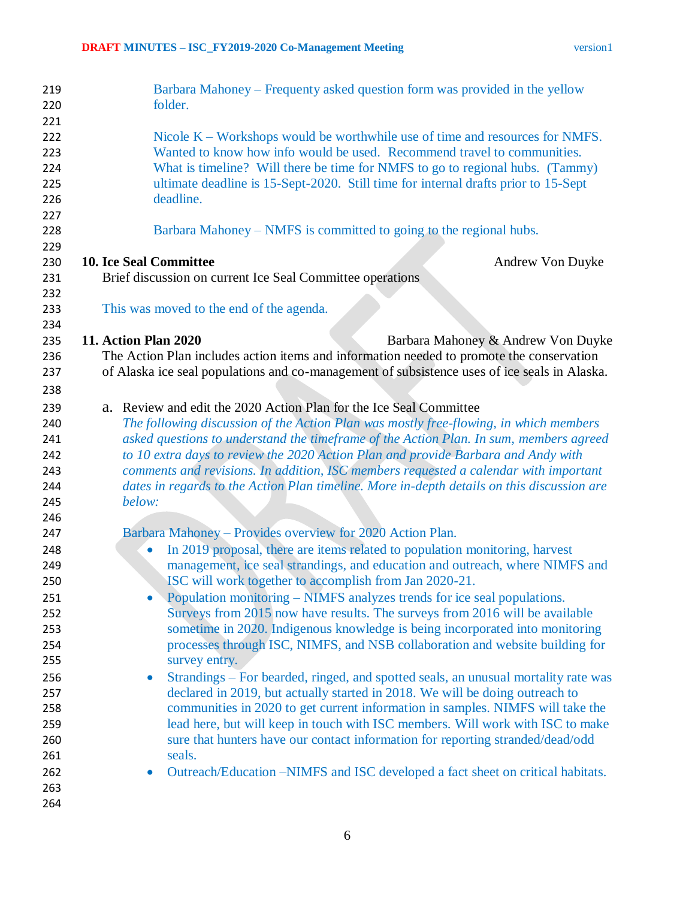| 219        | Barbara Mahoney – Frequenty asked question form was provided in the yellow                                                                                |
|------------|-----------------------------------------------------------------------------------------------------------------------------------------------------------|
| 220        | folder.                                                                                                                                                   |
| 221        |                                                                                                                                                           |
| 222        | Nicole $K$ – Workshops would be worthwhile use of time and resources for NMFS.<br>Wanted to know how info would be used. Recommend travel to communities. |
| 223        |                                                                                                                                                           |
| 224        | What is timeline? Will there be time for NMFS to go to regional hubs. (Tammy)                                                                             |
| 225<br>226 | ultimate deadline is 15-Sept-2020. Still time for internal drafts prior to 15-Sept<br>deadline.                                                           |
| 227        |                                                                                                                                                           |
| 228        | Barbara Mahoney – NMFS is committed to going to the regional hubs.                                                                                        |
| 229        |                                                                                                                                                           |
| 230        | <b>10. Ice Seal Committee</b><br>Andrew Von Duyke                                                                                                         |
| 231        | Brief discussion on current Ice Seal Committee operations                                                                                                 |
| 232        |                                                                                                                                                           |
| 233        | This was moved to the end of the agenda.                                                                                                                  |
| 234        |                                                                                                                                                           |
| 235        | <b>11. Action Plan 2020</b><br>Barbara Mahoney & Andrew Von Duyke                                                                                         |
| 236        | The Action Plan includes action items and information needed to promote the conservation                                                                  |
| 237        | of Alaska ice seal populations and co-management of subsistence uses of ice seals in Alaska.                                                              |
| 238        |                                                                                                                                                           |
| 239        | a. Review and edit the 2020 Action Plan for the Ice Seal Committee                                                                                        |
| 240        | The following discussion of the Action Plan was mostly free-flowing, in which members                                                                     |
| 241        | asked questions to understand the timeframe of the Action Plan. In sum, members agreed                                                                    |
| 242        | to 10 extra days to review the 2020 Action Plan and provide Barbara and Andy with                                                                         |
| 243        | comments and revisions. In addition, ISC members requested a calendar with important                                                                      |
| 244        | dates in regards to the Action Plan timeline. More in-depth details on this discussion are                                                                |
| 245        | below:                                                                                                                                                    |
| 246        |                                                                                                                                                           |
| 247        | Barbara Mahoney – Provides overview for 2020 Action Plan.                                                                                                 |
| 248        | In 2019 proposal, there are items related to population monitoring, harvest<br>$\bullet$                                                                  |
| 249        | management, ice seal strandings, and education and outreach, where NIMFS and                                                                              |
| 250        | ISC will work together to accomplish from Jan 2020-21.                                                                                                    |
| 251        | Population monitoring – NIMFS analyzes trends for ice seal populations.                                                                                   |
| 252        | Surveys from 2015 now have results. The surveys from 2016 will be available                                                                               |
| 253        | sometime in 2020. Indigenous knowledge is being incorporated into monitoring                                                                              |
| 254        | processes through ISC, NIMFS, and NSB collaboration and website building for                                                                              |
| 255        | survey entry.                                                                                                                                             |
| 256        | Strandings – For bearded, ringed, and spotted seals, an unusual mortality rate was<br>$\bullet$                                                           |
| 257        | declared in 2019, but actually started in 2018. We will be doing outreach to                                                                              |
| 258        | communities in 2020 to get current information in samples. NIMFS will take the                                                                            |
| 259        | lead here, but will keep in touch with ISC members. Will work with ISC to make                                                                            |
| 260        | sure that hunters have our contact information for reporting stranded/dead/odd                                                                            |
| 261        | seals.                                                                                                                                                    |
| 262        | Outreach/Education –NIMFS and ISC developed a fact sheet on critical habitats.                                                                            |
| 263        |                                                                                                                                                           |
| 264        |                                                                                                                                                           |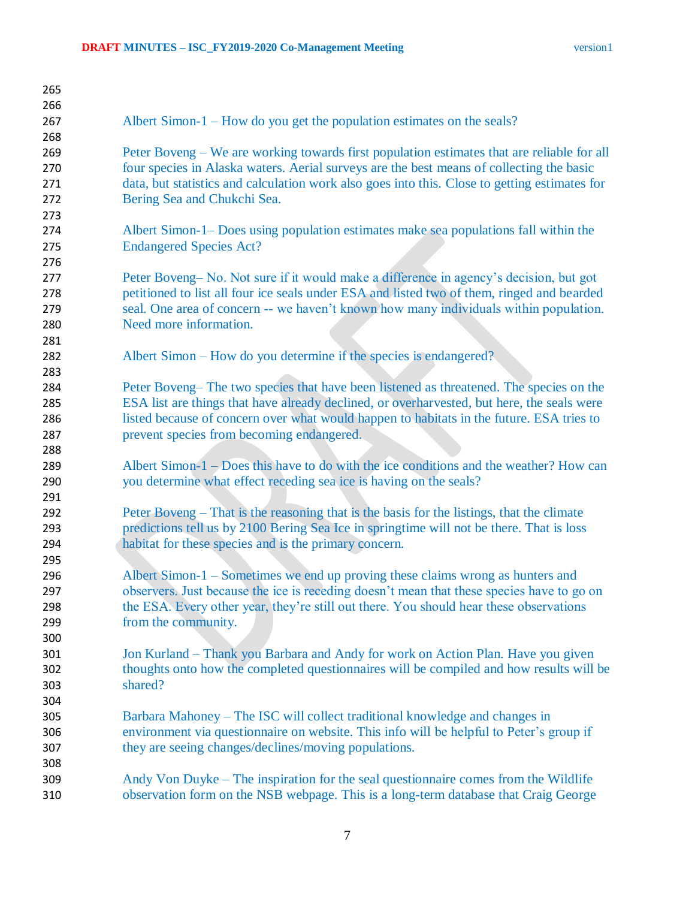| 265 |                                                                                               |
|-----|-----------------------------------------------------------------------------------------------|
| 266 |                                                                                               |
| 267 | Albert Simon-1 – How do you get the population estimates on the seals?                        |
| 268 |                                                                                               |
| 269 | Peter Boveng – We are working towards first population estimates that are reliable for all    |
| 270 | four species in Alaska waters. Aerial surveys are the best means of collecting the basic      |
| 271 | data, but statistics and calculation work also goes into this. Close to getting estimates for |
| 272 | Bering Sea and Chukchi Sea.                                                                   |
| 273 |                                                                                               |
| 274 | Albert Simon-1– Does using population estimates make sea populations fall within the          |
| 275 | <b>Endangered Species Act?</b>                                                                |
| 276 |                                                                                               |
| 277 | Peter Boveng-No. Not sure if it would make a difference in agency's decision, but got         |
| 278 | petitioned to list all four ice seals under ESA and listed two of them, ringed and bearded    |
| 279 | seal. One area of concern -- we haven't known how many individuals within population.         |
| 280 | Need more information.                                                                        |
| 281 |                                                                                               |
| 282 | Albert Simon – How do you determine if the species is endangered?                             |
| 283 |                                                                                               |
| 284 | Peter Boveng– The two species that have been listened as threatened. The species on the       |
| 285 | ESA list are things that have already declined, or overharvested, but here, the seals were    |
| 286 | listed because of concern over what would happen to habitats in the future. ESA tries to      |
| 287 | prevent species from becoming endangered.                                                     |
| 288 |                                                                                               |
| 289 | Albert Simon-1 – Does this have to do with the ice conditions and the weather? How can        |
| 290 | you determine what effect receding sea ice is having on the seals?                            |
| 291 |                                                                                               |
| 292 | Peter Boveng – That is the reasoning that is the basis for the listings, that the climate     |
| 293 | predictions tell us by 2100 Bering Sea Ice in springtime will not be there. That is loss      |
| 294 | habitat for these species and is the primary concern.                                         |
| 295 |                                                                                               |
| 296 | Albert Simon-1 – Sometimes we end up proving these claims wrong as hunters and                |
| 297 | observers. Just because the ice is receding doesn't mean that these species have to go on     |
| 298 | the ESA. Every other year, they're still out there. You should hear these observations        |
| 299 | from the community.                                                                           |
| 300 |                                                                                               |
| 301 | Jon Kurland – Thank you Barbara and Andy for work on Action Plan. Have you given              |
| 302 | thoughts onto how the completed questionnaires will be compiled and how results will be       |
| 303 | shared?                                                                                       |
| 304 |                                                                                               |
| 305 | Barbara Mahoney – The ISC will collect traditional knowledge and changes in                   |
| 306 | environment via questionnaire on website. This info will be helpful to Peter's group if       |
| 307 | they are seeing changes/declines/moving populations.                                          |
| 308 |                                                                                               |
| 309 | Andy Von Duyke – The inspiration for the seal questionnaire comes from the Wildlife           |
| 310 | observation form on the NSB webpage. This is a long-term database that Craig George           |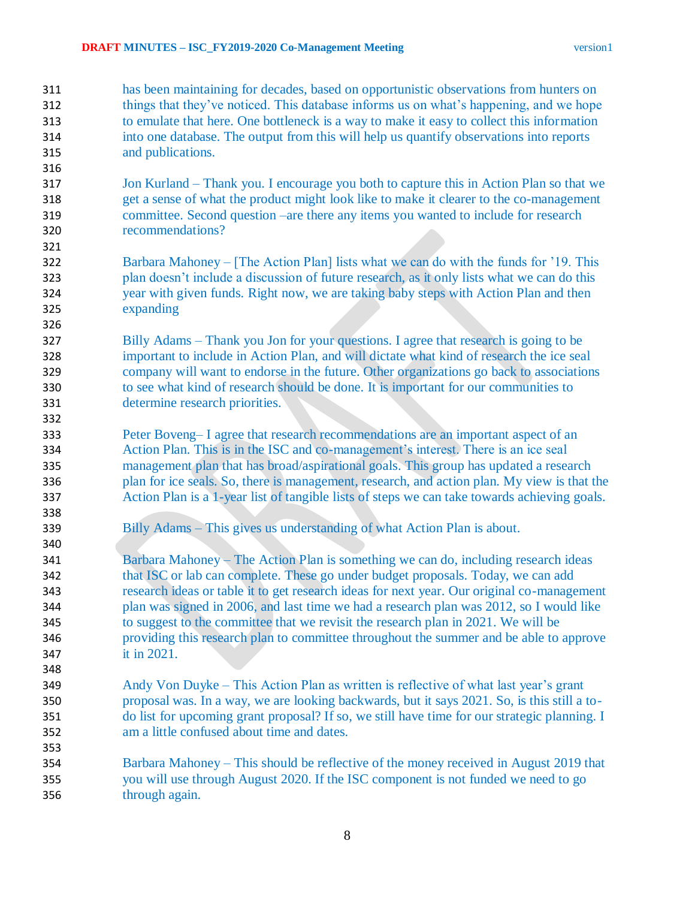- has been maintaining for decades, based on opportunistic observations from hunters on things that they've noticed. This database informs us on what's happening, and we hope to emulate that here. One bottleneck is a way to make it easy to collect this information into one database. The output from this will help us quantify observations into reports and publications.
- Jon Kurland Thank you. I encourage you both to capture this in Action Plan so that we get a sense of what the product might look like to make it clearer to the co-management committee. Second question –are there any items you wanted to include for research recommendations?
- Barbara Mahoney [The Action Plan] lists what we can do with the funds for '19. This plan doesn't include a discussion of future research, as it only lists what we can do this year with given funds. Right now, we are taking baby steps with Action Plan and then expanding
- Billy Adams Thank you Jon for your questions. I agree that research is going to be important to include in Action Plan, and will dictate what kind of research the ice seal company will want to endorse in the future. Other organizations go back to associations to see what kind of research should be done. It is important for our communities to determine research priorities.
- Peter Boveng– I agree that research recommendations are an important aspect of an Action Plan. This is in the ISC and co-management's interest. There is an ice seal management plan that has broad/aspirational goals. This group has updated a research plan for ice seals. So, there is management, research, and action plan. My view is that the Action Plan is a 1-year list of tangible lists of steps we can take towards achieving goals.
- Billy Adams This gives us understanding of what Action Plan is about.
- Barbara Mahoney The Action Plan is something we can do, including research ideas that ISC or lab can complete. These go under budget proposals. Today, we can add research ideas or table it to get research ideas for next year. Our original co-management plan was signed in 2006, and last time we had a research plan was 2012, so I would like to suggest to the committee that we revisit the research plan in 2021. We will be providing this research plan to committee throughout the summer and be able to approve it in 2021.
- Andy Von Duyke This Action Plan as written is reflective of what last year's grant proposal was. In a way, we are looking backwards, but it says 2021. So, is this still a to- do list for upcoming grant proposal? If so, we still have time for our strategic planning. I am a little confused about time and dates.
- Barbara Mahoney This should be reflective of the money received in August 2019 that you will use through August 2020. If the ISC component is not funded we need to go through again.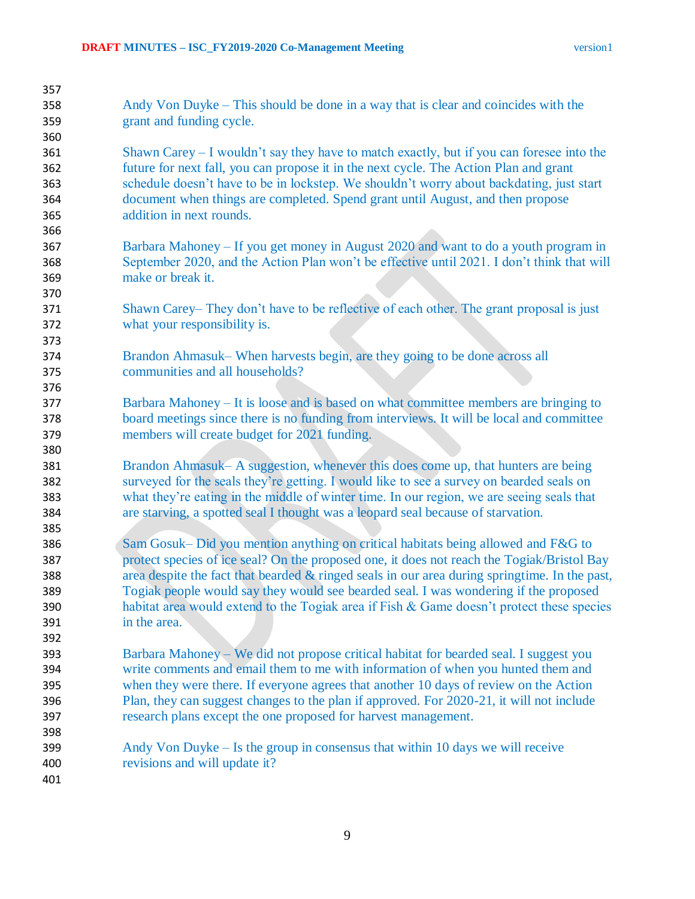| 357 |                                                                                               |
|-----|-----------------------------------------------------------------------------------------------|
| 358 | Andy Von Duyke – This should be done in a way that is clear and coincides with the            |
| 359 | grant and funding cycle.                                                                      |
| 360 |                                                                                               |
| 361 | Shawn Carey - I wouldn't say they have to match exactly, but if you can foresee into the      |
| 362 | future for next fall, you can propose it in the next cycle. The Action Plan and grant         |
| 363 | schedule doesn't have to be in lockstep. We shouldn't worry about backdating, just start      |
| 364 | document when things are completed. Spend grant until August, and then propose                |
| 365 | addition in next rounds.                                                                      |
| 366 |                                                                                               |
| 367 | Barbara Mahoney – If you get money in August 2020 and want to do a youth program in           |
| 368 | September 2020, and the Action Plan won't be effective until 2021. I don't think that will    |
| 369 | make or break it.                                                                             |
| 370 |                                                                                               |
|     | Shawn Carey– They don't have to be reflective of each other. The grant proposal is just       |
| 371 |                                                                                               |
| 372 | what your responsibility is.                                                                  |
| 373 |                                                                                               |
| 374 | Brandon Ahmasuk– When harvests begin, are they going to be done across all                    |
| 375 | communities and all households?                                                               |
| 376 |                                                                                               |
| 377 | Barbara Mahoney – It is loose and is based on what committee members are bringing to          |
| 378 | board meetings since there is no funding from interviews. It will be local and committee      |
| 379 | members will create budget for 2021 funding.                                                  |
| 380 |                                                                                               |
| 381 | Brandon Ahmasuk– A suggestion, whenever this does come up, that hunters are being             |
| 382 | surveyed for the seals they're getting. I would like to see a survey on bearded seals on      |
| 383 | what they're eating in the middle of winter time. In our region, we are seeing seals that     |
| 384 | are starving, a spotted seal I thought was a leopard seal because of starvation.              |
| 385 |                                                                                               |
| 386 | Sam Gosuk– Did you mention anything on critical habitats being allowed and F&G to             |
| 387 | protect species of ice seal? On the proposed one, it does not reach the Togiak/Bristol Bay    |
| 388 | area despite the fact that bearded & ringed seals in our area during springtime. In the past, |
| 389 | Togiak people would say they would see bearded seal. I was wondering if the proposed          |
| 390 | habitat area would extend to the Togiak area if Fish & Game doesn't protect these species     |
| 391 | in the area.                                                                                  |
| 392 |                                                                                               |
| 393 | Barbara Mahoney – We did not propose critical habitat for bearded seal. I suggest you         |
| 394 | write comments and email them to me with information of when you hunted them and              |
| 395 | when they were there. If everyone agrees that another 10 days of review on the Action         |
| 396 | Plan, they can suggest changes to the plan if approved. For 2020-21, it will not include      |
| 397 | research plans except the one proposed for harvest management.                                |
| 398 |                                                                                               |
| 399 | Andy Von Duyke – Is the group in consensus that within 10 days we will receive                |
| 400 | revisions and will update it?                                                                 |
| 401 |                                                                                               |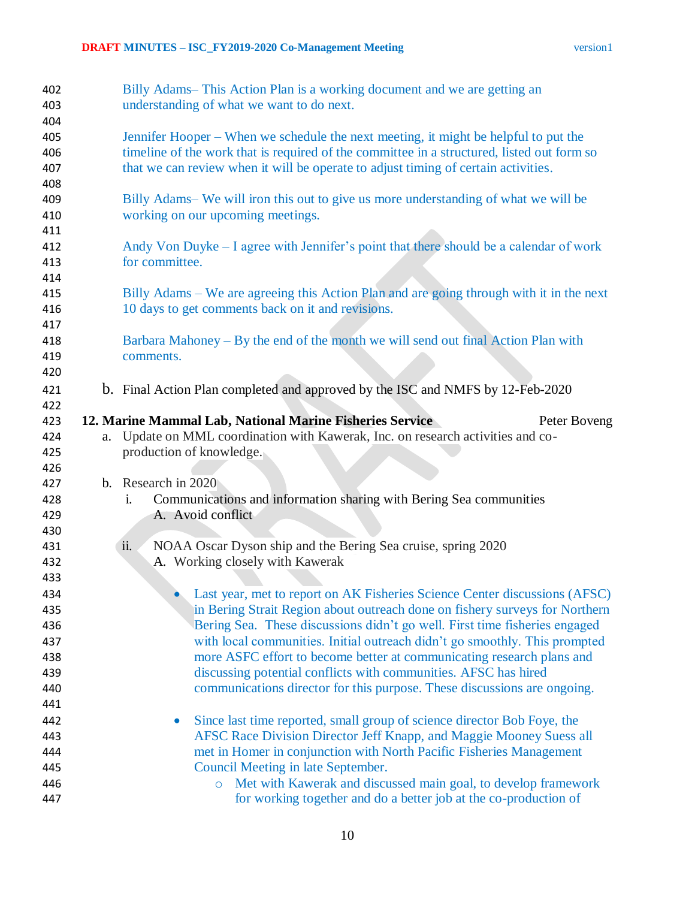| 402<br>403 |                | Billy Adams-This Action Plan is a working document and we are getting an<br>understanding of what we want to do next.                         |
|------------|----------------|-----------------------------------------------------------------------------------------------------------------------------------------------|
| 404        |                |                                                                                                                                               |
| 405        |                | Jennifer Hooper – When we schedule the next meeting, it might be helpful to put the                                                           |
| 406        |                | timeline of the work that is required of the committee in a structured, listed out form so                                                    |
| 407        |                | that we can review when it will be operate to adjust timing of certain activities.                                                            |
| 408        |                |                                                                                                                                               |
| 409<br>410 |                | Billy Adams– We will iron this out to give us more understanding of what we will be<br>working on our upcoming meetings.                      |
| 411        |                |                                                                                                                                               |
| 412        |                | Andy Von Duyke – I agree with Jennifer's point that there should be a calendar of work                                                        |
| 413        |                | for committee.                                                                                                                                |
| 414        |                |                                                                                                                                               |
| 415<br>416 |                | Billy Adams – We are agreeing this Action Plan and are going through with it in the next<br>10 days to get comments back on it and revisions. |
| 417        |                |                                                                                                                                               |
| 418        |                | Barbara Mahoney – By the end of the month we will send out final Action Plan with                                                             |
| 419        |                | comments.                                                                                                                                     |
| 420        |                |                                                                                                                                               |
| 421        |                | b. Final Action Plan completed and approved by the ISC and NMFS by 12-Feb-2020                                                                |
| 422        |                |                                                                                                                                               |
| 423        |                | 12. Marine Mammal Lab, National Marine Fisheries Service<br>Peter Boveng                                                                      |
| 424        | a.             | Update on MML coordination with Kawerak, Inc. on research activities and co-                                                                  |
| 425        |                | production of knowledge.                                                                                                                      |
| 426        |                |                                                                                                                                               |
| 427        | $\mathbf{b}$ . | Research in 2020                                                                                                                              |
| 428        |                | Communications and information sharing with Bering Sea communities<br>i.                                                                      |
| 429        |                | A. Avoid conflict                                                                                                                             |
| 430        |                |                                                                                                                                               |
| 431        |                | NOAA Oscar Dyson ship and the Bering Sea cruise, spring 2020<br>ii.                                                                           |
| 432        |                | A. Working closely with Kawerak                                                                                                               |
| 433        |                |                                                                                                                                               |
| 434        |                | Last year, met to report on AK Fisheries Science Center discussions (AFSC)                                                                    |
| 435        |                | in Bering Strait Region about outreach done on fishery surveys for Northern                                                                   |
| 436        |                | Bering Sea. These discussions didn't go well. First time fisheries engaged                                                                    |
| 437        |                | with local communities. Initial outreach didn't go smoothly. This prompted                                                                    |
| 438        |                | more ASFC effort to become better at communicating research plans and                                                                         |
| 439        |                |                                                                                                                                               |
| 440        |                | discussing potential conflicts with communities. AFSC has hired                                                                               |
|            |                | communications director for this purpose. These discussions are ongoing.                                                                      |
| 441        |                |                                                                                                                                               |
| 442        |                | Since last time reported, small group of science director Bob Foye, the<br>$\bullet$                                                          |
| 443        |                | AFSC Race Division Director Jeff Knapp, and Maggie Mooney Suess all                                                                           |
| 444        |                | met in Homer in conjunction with North Pacific Fisheries Management                                                                           |
| 445        |                | Council Meeting in late September.                                                                                                            |
| 446        |                | Met with Kawerak and discussed main goal, to develop framework<br>$\circ$<br>for working together and do a better job at the co-production of |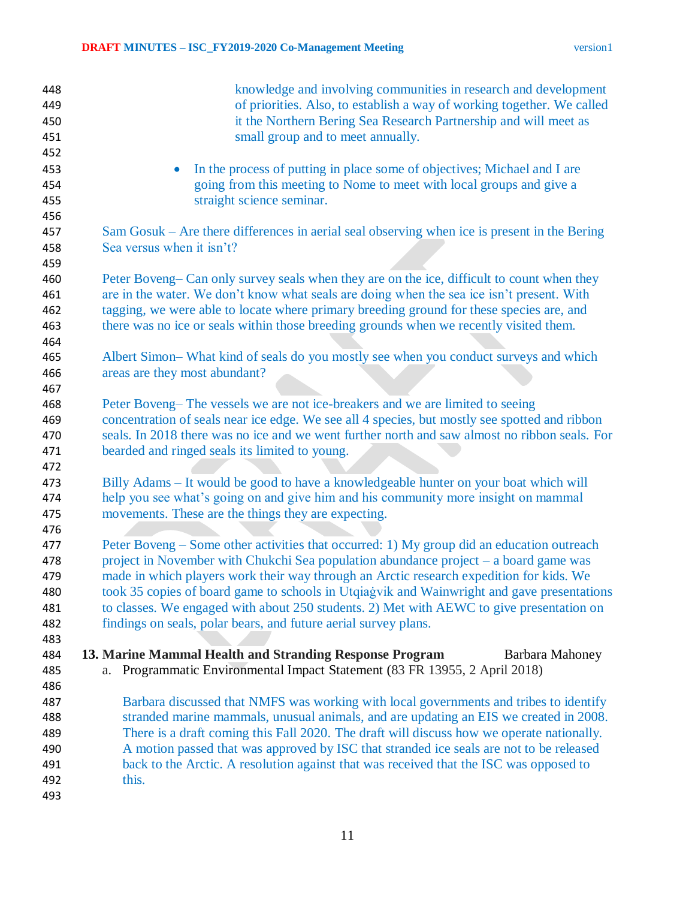| 448<br>449<br>450<br>451<br>452<br>453        | knowledge and involving communities in research and development<br>of priorities. Also, to establish a way of working together. We called<br>it the Northern Bering Sea Research Partnership and will meet as<br>small group and to meet annually.<br>In the process of putting in place some of objectives; Michael and I are                                                                                                                                                                                                            |
|-----------------------------------------------|-------------------------------------------------------------------------------------------------------------------------------------------------------------------------------------------------------------------------------------------------------------------------------------------------------------------------------------------------------------------------------------------------------------------------------------------------------------------------------------------------------------------------------------------|
| 454<br>455<br>456<br>457                      | going from this meeting to Nome to meet with local groups and give a<br>straight science seminar.<br>Sam Gosuk – Are there differences in aerial seal observing when ice is present in the Bering                                                                                                                                                                                                                                                                                                                                         |
| 458<br>459                                    | Sea versus when it isn't?                                                                                                                                                                                                                                                                                                                                                                                                                                                                                                                 |
| 460<br>461<br>462<br>463<br>464               | Peter Boveng– Can only survey seals when they are on the ice, difficult to count when they<br>are in the water. We don't know what seals are doing when the sea ice isn't present. With<br>tagging, we were able to locate where primary breeding ground for these species are, and<br>there was no ice or seals within those breeding grounds when we recently visited them.                                                                                                                                                             |
| 465<br>466<br>467                             | Albert Simon–What kind of seals do you mostly see when you conduct surveys and which<br>areas are they most abundant?                                                                                                                                                                                                                                                                                                                                                                                                                     |
| 468<br>469<br>470<br>471<br>472               | Peter Boveng– The vessels we are not ice-breakers and we are limited to seeing<br>concentration of seals near ice edge. We see all 4 species, but mostly see spotted and ribbon<br>seals. In 2018 there was no ice and we went further north and saw almost no ribbon seals. For<br>bearded and ringed seals its limited to young.                                                                                                                                                                                                        |
| 473<br>474<br>475<br>476                      | Billy Adams - It would be good to have a knowledgeable hunter on your boat which will<br>help you see what's going on and give him and his community more insight on mammal<br>movements. These are the things they are expecting.                                                                                                                                                                                                                                                                                                        |
| 477<br>478<br>479<br>480<br>481<br>482<br>483 | Peter Boveng – Some other activities that occurred: 1) My group did an education outreach<br>project in November with Chukchi Sea population abundance project – a board game was<br>made in which players work their way through an Arctic research expedition for kids. We<br>took 35 copies of board game to schools in Utqiagvik and Wainwright and gave presentations<br>to classes. We engaged with about 250 students. 2) Met with AEWC to give presentation on<br>findings on seals, polar bears, and future aerial survey plans. |
| 484<br>485<br>486                             | 13. Marine Mammal Health and Stranding Response Program<br><b>Barbara Mahoney</b><br>Programmatic Environmental Impact Statement (83 FR 13955, 2 April 2018)<br>a.                                                                                                                                                                                                                                                                                                                                                                        |
| 487<br>488<br>489<br>490<br>491<br>492<br>493 | Barbara discussed that NMFS was working with local governments and tribes to identify<br>stranded marine mammals, unusual animals, and are updating an EIS we created in 2008.<br>There is a draft coming this Fall 2020. The draft will discuss how we operate nationally.<br>A motion passed that was approved by ISC that stranded ice seals are not to be released<br>back to the Arctic. A resolution against that was received that the ISC was opposed to<br>this.                                                                 |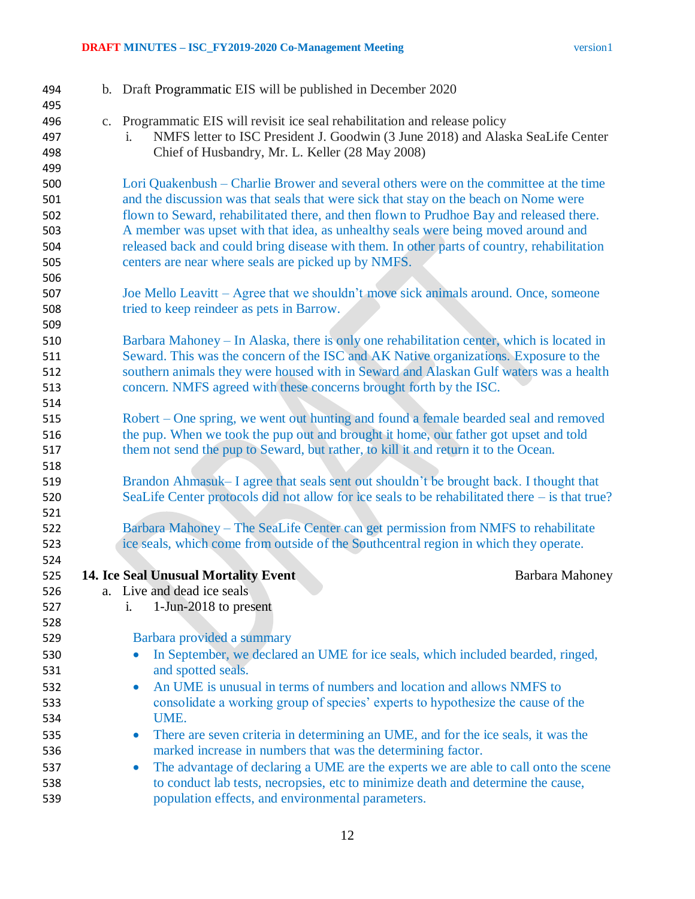## **DRAFT MINUTES – ISC\_FY2019-2020 Co-Management Meeting** version1

| 494        | b. Draft Programmatic EIS will be published in December 2020                                                                                                                     |
|------------|----------------------------------------------------------------------------------------------------------------------------------------------------------------------------------|
| 495        |                                                                                                                                                                                  |
| 496<br>497 | c. Programmatic EIS will revisit ice seal rehabilitation and release policy<br>NMFS letter to ISC President J. Goodwin (3 June 2018) and Alaska SeaLife Center<br>$\mathbf{1}$ . |
| 498        | Chief of Husbandry, Mr. L. Keller (28 May 2008)                                                                                                                                  |
| 499        |                                                                                                                                                                                  |
| 500        | Lori Quakenbush – Charlie Brower and several others were on the committee at the time                                                                                            |
| 501        | and the discussion was that seals that were sick that stay on the beach on Nome were                                                                                             |
| 502        | flown to Seward, rehabilitated there, and then flown to Prudhoe Bay and released there.                                                                                          |
| 503        | A member was upset with that idea, as unhealthy seals were being moved around and                                                                                                |
| 504        | released back and could bring disease with them. In other parts of country, rehabilitation                                                                                       |
| 505        | centers are near where seals are picked up by NMFS.                                                                                                                              |
| 506        |                                                                                                                                                                                  |
| 507        | Joe Mello Leavitt – Agree that we shouldn't move sick animals around. Once, someone                                                                                              |
| 508        | tried to keep reindeer as pets in Barrow.                                                                                                                                        |
| 509        |                                                                                                                                                                                  |
| 510        | Barbara Mahoney – In Alaska, there is only one rehabilitation center, which is located in                                                                                        |
| 511        | Seward. This was the concern of the ISC and AK Native organizations. Exposure to the                                                                                             |
| 512        | southern animals they were housed with in Seward and Alaskan Gulf waters was a health                                                                                            |
| 513        | concern. NMFS agreed with these concerns brought forth by the ISC.                                                                                                               |
| 514        |                                                                                                                                                                                  |
| 515        | Robert – One spring, we went out hunting and found a female bearded seal and removed                                                                                             |
| 516        | the pup. When we took the pup out and brought it home, our father got upset and told<br>them not send the pup to Seward, but rather, to kill it and return it to the Ocean.      |
| 517<br>518 |                                                                                                                                                                                  |
| 519        | Brandon Ahmasuk– I agree that seals sent out shouldn't be brought back. I thought that                                                                                           |
| 520        | SeaLife Center protocols did not allow for ice seals to be rehabilitated there – is that true?                                                                                   |
| 521        |                                                                                                                                                                                  |
| 522        | Barbara Mahoney – The SeaLife Center can get permission from NMFS to rehabilitate                                                                                                |
| 523        | ice seals, which come from outside of the Southcentral region in which they operate.                                                                                             |
| 524        |                                                                                                                                                                                  |
| 525        | <b>14. Ice Seal Unusual Mortality Event</b><br>Barbara Mahoney                                                                                                                   |
| 526        | a. Live and dead ice seals                                                                                                                                                       |
| 527        | $1$ -Jun-2018 to present<br>i.                                                                                                                                                   |
| 528        |                                                                                                                                                                                  |
| 529        | Barbara provided a summary                                                                                                                                                       |
| 530        | In September, we declared an UME for ice seals, which included bearded, ringed,                                                                                                  |
| 531        | and spotted seals.                                                                                                                                                               |
| 532        | An UME is unusual in terms of numbers and location and allows NMFS to<br>$\bullet$                                                                                               |
| 533        | consolidate a working group of species' experts to hypothesize the cause of the                                                                                                  |
| 534        | UME.                                                                                                                                                                             |
| 535        | There are seven criteria in determining an UME, and for the ice seals, it was the<br>$\bullet$                                                                                   |
| 536        | marked increase in numbers that was the determining factor.                                                                                                                      |
| 537        | The advantage of declaring a UME are the experts we are able to call onto the scene<br>$\bullet$                                                                                 |
| 538        | to conduct lab tests, necropsies, etc to minimize death and determine the cause,                                                                                                 |
| 539        | population effects, and environmental parameters.                                                                                                                                |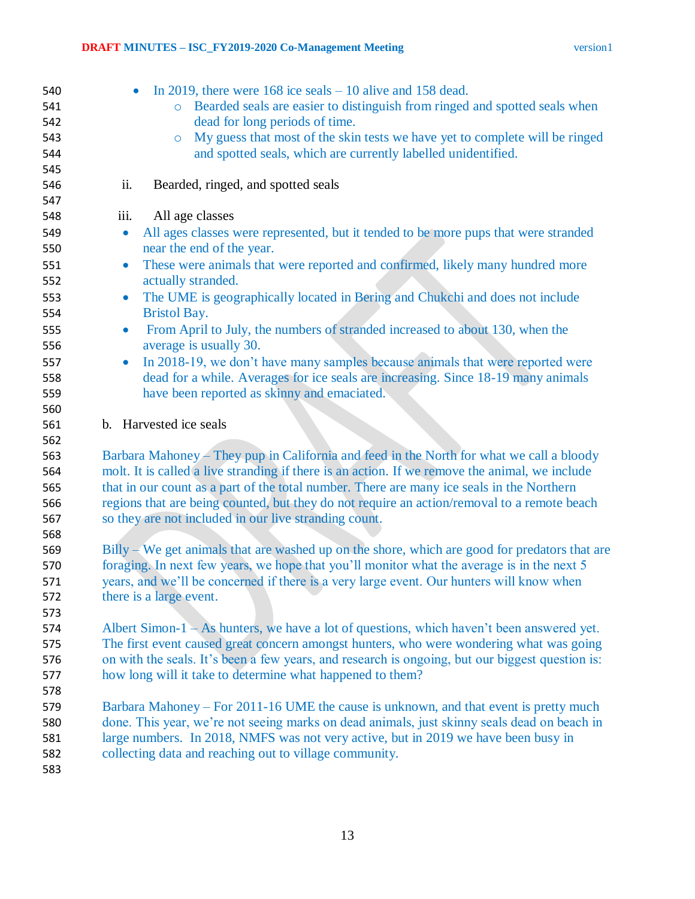| 540        | In 2019, there were $168$ ice seals $-10$ alive and 158 dead.<br>$\bullet$                                          |
|------------|---------------------------------------------------------------------------------------------------------------------|
| 541        | Bearded seals are easier to distinguish from ringed and spotted seals when<br>$\circ$                               |
| 542        | dead for long periods of time.                                                                                      |
| 543        | My guess that most of the skin tests we have yet to complete will be ringed<br>$\circ$                              |
| 544        | and spotted seals, which are currently labelled unidentified.                                                       |
| 545        |                                                                                                                     |
| 546        | ii.<br>Bearded, ringed, and spotted seals                                                                           |
| 547        |                                                                                                                     |
| 548        | iii.<br>All age classes                                                                                             |
| 549        | All ages classes were represented, but it tended to be more pups that were stranded<br>$\bullet$                    |
| 550        | near the end of the year.                                                                                           |
| 551        | These were animals that were reported and confirmed, likely many hundred more<br>$\bullet$                          |
| 552        | actually stranded.                                                                                                  |
| 553        | The UME is geographically located in Bering and Chukchi and does not include<br>$\bullet$                           |
| 554        | <b>Bristol Bay.</b>                                                                                                 |
| 555<br>556 | From April to July, the numbers of stranded increased to about 130, when the<br>$\bullet$<br>average is usually 30. |
| 557        | In 2018-19, we don't have many samples because animals that were reported were<br>$\bullet$                         |
| 558        | dead for a while. Averages for ice seals are increasing. Since 18-19 many animals                                   |
| 559        | have been reported as skinny and emaciated.                                                                         |
| 560        |                                                                                                                     |
| 561        | b. Harvested ice seals                                                                                              |
| 562        |                                                                                                                     |
| 563        | Barbara Mahoney – They pup in California and feed in the North for what we call a bloody                            |
| 564        | molt. It is called a live stranding if there is an action. If we remove the animal, we include                      |
| 565        | that in our count as a part of the total number. There are many ice seals in the Northern                           |
| 566        | regions that are being counted, but they do not require an action/removal to a remote beach                         |
| 567        | so they are not included in our live stranding count.                                                               |
| 568        |                                                                                                                     |
| 569        | $Billy - We get animals that are washed up on the shore, which are good for predators that are$                     |
| 570        | foraging. In next few years, we hope that you'll monitor what the average is in the next 5                          |
| 571        | years, and we'll be concerned if there is a very large event. Our hunters will know when                            |
| 572        | there is a large event.                                                                                             |
| 573        |                                                                                                                     |
| 574        | Albert Simon- $1 - As$ hunters, we have a lot of questions, which haven't been answered yet.                        |
| 575        | The first event caused great concern amongst hunters, who were wondering what was going                             |
| 576        | on with the seals. It's been a few years, and research is ongoing, but our biggest question is:                     |
| 577        | how long will it take to determine what happened to them?                                                           |
| 578        |                                                                                                                     |
| 579        | Barbara Mahoney – For 2011-16 UME the cause is unknown, and that event is pretty much                               |
| 580        | done. This year, we're not seeing marks on dead animals, just skinny seals dead on beach in                         |
| 581        | large numbers. In 2018, NMFS was not very active, but in 2019 we have been busy in                                  |
| 582        | collecting data and reaching out to village community.                                                              |
| 583        |                                                                                                                     |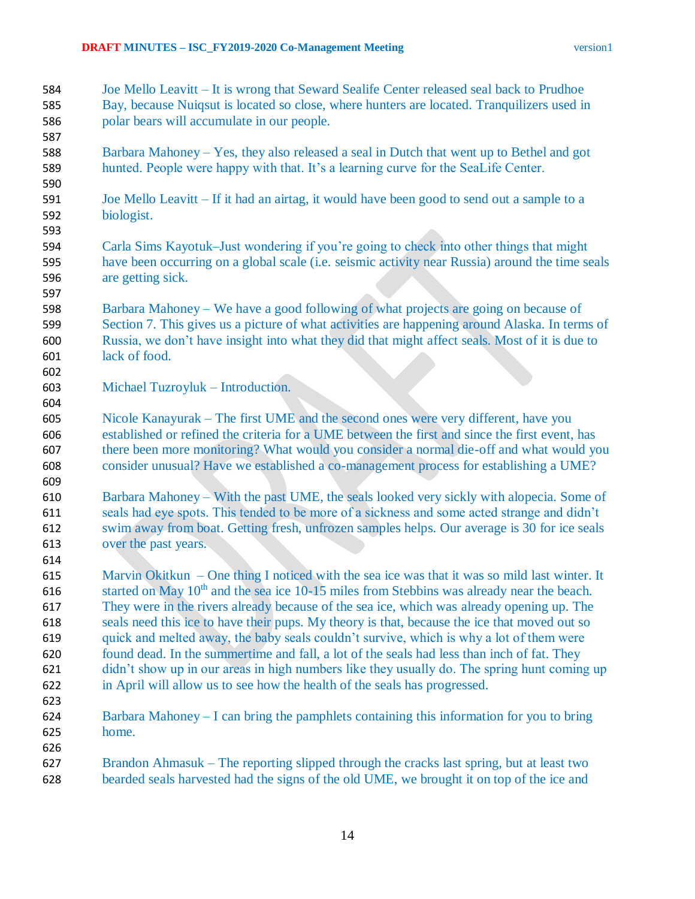- Joe Mello Leavitt It is wrong that Seward Sealife Center released seal back to Prudhoe Bay, because Nuiqsut is located so close, where hunters are located. Tranquilizers used in polar bears will accumulate in our people.
- Barbara Mahoney Yes, they also released a seal in Dutch that went up to Bethel and got hunted. People were happy with that. It's a learning curve for the SeaLife Center.
- Joe Mello Leavitt If it had an airtag, it would have been good to send out a sample to a biologist.
- Carla Sims Kayotuk–Just wondering if you're going to check into other things that might have been occurring on a global scale (i.e. seismic activity near Russia) around the time seals are getting sick.
- Barbara Mahoney We have a good following of what projects are going on because of Section 7. This gives us a picture of what activities are happening around Alaska. In terms of Russia, we don't have insight into what they did that might affect seals. Most of it is due to lack of food.
- Michael Tuzroyluk Introduction.
- Nicole Kanayurak The first UME and the second ones were very different, have you established or refined the criteria for a UME between the first and since the first event, has there been more monitoring? What would you consider a normal die-off and what would you consider unusual? Have we established a co-management process for establishing a UME?
- Barbara Mahoney With the past UME, the seals looked very sickly with alopecia. Some of seals had eye spots. This tended to be more of a sickness and some acted strange and didn't swim away from boat. Getting fresh, unfrozen samples helps. Our average is 30 for ice seals over the past years.
- Marvin Okitkun One thing I noticed with the sea ice was that it was so mild last winter. It 616 started on May  $10^{th}$  and the sea ice 10-15 miles from Stebbins was already near the beach. They were in the rivers already because of the sea ice, which was already opening up. The seals need this ice to have their pups. My theory is that, because the ice that moved out so quick and melted away, the baby seals couldn't survive, which is why a lot of them were found dead. In the summertime and fall, a lot of the seals had less than inch of fat. They didn't show up in our areas in high numbers like they usually do. The spring hunt coming up in April will allow us to see how the health of the seals has progressed.
- 

- Barbara Mahoney I can bring the pamphlets containing this information for you to bring home.
- Brandon Ahmasuk The reporting slipped through the cracks last spring, but at least two bearded seals harvested had the signs of the old UME, we brought it on top of the ice and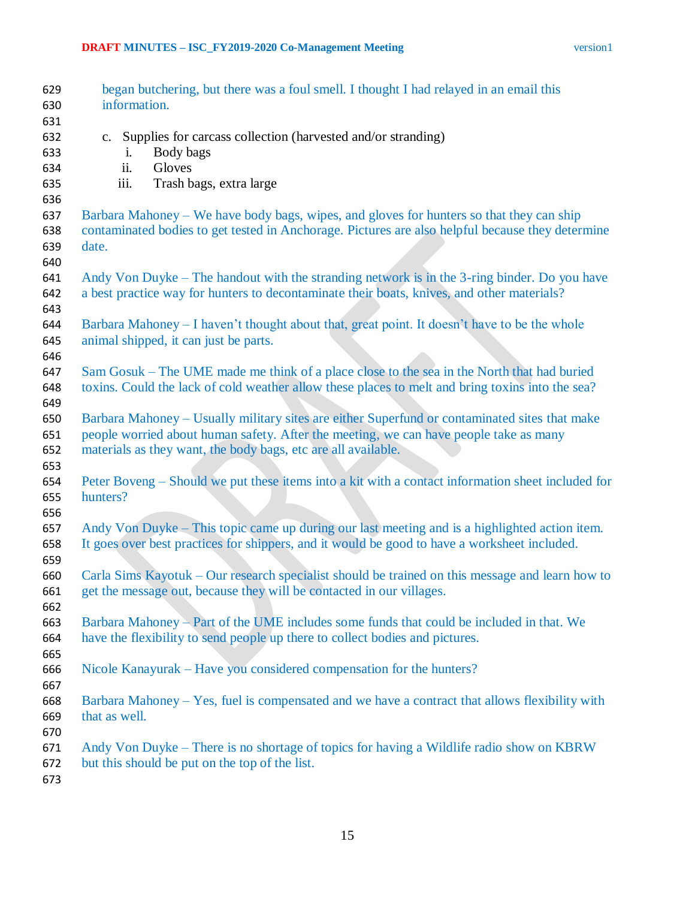| 629        | began butchering, but there was a foul smell. I thought I had relayed in an email this                                                |
|------------|---------------------------------------------------------------------------------------------------------------------------------------|
| 630        | information.                                                                                                                          |
| 631        |                                                                                                                                       |
| 632        | c. Supplies for carcass collection (harvested and/or stranding)                                                                       |
| 633        | Body bags<br>$\mathbf{1}$ .                                                                                                           |
| 634        | ii.<br>Gloves                                                                                                                         |
| 635        | Trash bags, extra large<br>iii.                                                                                                       |
| 636        |                                                                                                                                       |
| 637        | Barbara Mahoney – We have body bags, wipes, and gloves for hunters so that they can ship                                              |
| 638        | contaminated bodies to get tested in Anchorage. Pictures are also helpful because they determine                                      |
| 639        | date.                                                                                                                                 |
| 640        |                                                                                                                                       |
| 641        | Andy Von Duyke – The handout with the stranding network is in the 3-ring binder. Do you have                                          |
| 642        | a best practice way for hunters to decontaminate their boats, knives, and other materials?                                            |
| 643        |                                                                                                                                       |
| 644<br>645 | Barbara Mahoney – I haven't thought about that, great point. It doesn't have to be the whole<br>animal shipped, it can just be parts. |
| 646        |                                                                                                                                       |
| 647        | Sam Gosuk – The UME made me think of a place close to the sea in the North that had buried                                            |
| 648        | toxins. Could the lack of cold weather allow these places to melt and bring toxins into the sea?                                      |
| 649        |                                                                                                                                       |
| 650        | Barbara Mahoney – Usually military sites are either Superfund or contaminated sites that make                                         |
| 651        | people worried about human safety. After the meeting, we can have people take as many                                                 |
| 652        | materials as they want, the body bags, etc are all available.                                                                         |
| 653        |                                                                                                                                       |
| 654        | Peter Boveng – Should we put these items into a kit with a contact information sheet included for                                     |
| 655        | hunters?                                                                                                                              |
| 656        |                                                                                                                                       |
| 657        | Andy Von Duyke – This topic came up during our last meeting and is a highlighted action item.                                         |
| 658        | It goes over best practices for shippers, and it would be good to have a worksheet included.                                          |
| 659        |                                                                                                                                       |
| 660        | Carla Sims Kayotuk – Our research specialist should be trained on this message and learn how to                                       |
| 661        | get the message out, because they will be contacted in our villages.                                                                  |
| 662        |                                                                                                                                       |
| 663        | Barbara Mahoney – Part of the UME includes some funds that could be included in that. We                                              |
| 664        | have the flexibility to send people up there to collect bodies and pictures.                                                          |
| 665        |                                                                                                                                       |
| 666        | Nicole Kanayurak – Have you considered compensation for the hunters?                                                                  |
| 667        |                                                                                                                                       |
| 668        | Barbara Mahoney – Yes, fuel is compensated and we have a contract that allows flexibility with                                        |
| 669        | that as well.                                                                                                                         |
| 670        |                                                                                                                                       |
| 671        | Andy Von Duyke – There is no shortage of topics for having a Wildlife radio show on KBRW                                              |
| 672        | but this should be put on the top of the list.                                                                                        |
| 673        |                                                                                                                                       |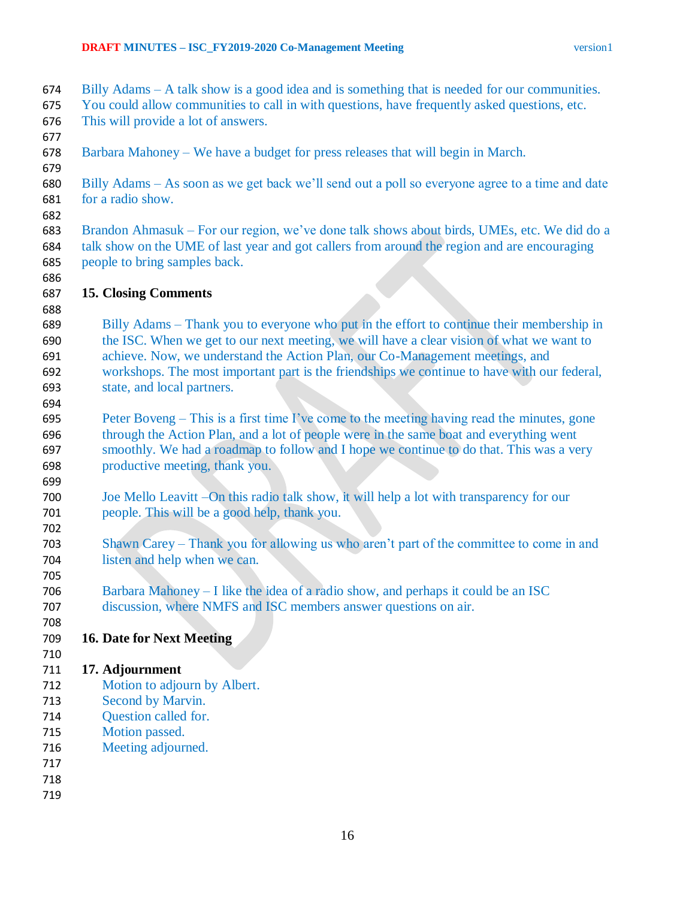- Billy Adams A talk show is a good idea and is something that is needed for our communities.
- You could allow communities to call in with questions, have frequently asked questions, etc.
- This will provide a lot of answers.
- 
- Barbara Mahoney We have a budget for press releases that will begin in March.
- 

 Billy Adams – As soon as we get back we'll send out a poll so everyone agree to a time and date for a radio show.

- Brandon Ahmasuk For our region, we've done talk shows about birds, UMEs, etc. We did do a talk show on the UME of last year and got callers from around the region and are encouraging people to bring samples back.
- **15. Closing Comments**
- Billy Adams – Thank you to everyone who put in the effort to continue their membership in the ISC. When we get to our next meeting, we will have a clear vision of what we want to achieve. Now, we understand the Action Plan, our Co-Management meetings, and workshops. The most important part is the friendships we continue to have with our federal, state, and local partners.
- Peter Boveng – This is a first time I've come to the meeting having read the minutes, gone through the Action Plan, and a lot of people were in the same boat and everything went smoothly. We had a roadmap to follow and I hope we continue to do that. This was a very productive meeting, thank you.
- Joe Mello Leavitt –On this radio talk show, it will help a lot with transparency for our people. This will be a good help, thank you.
- Shawn Carey Thank you for allowing us who aren't part of the committee to come in and listen and help when we can.
- Barbara Mahoney – I like the idea of a radio show, and perhaps it could be an ISC discussion, where NMFS and ISC members answer questions on air.
- 

## **16. Date for Next Meeting**

## **17. Adjournment**

- Motion to adjourn by Albert.
- Second by Marvin.
- Question called for.
- Motion passed.
- Meeting adjourned.
- 
- 
-